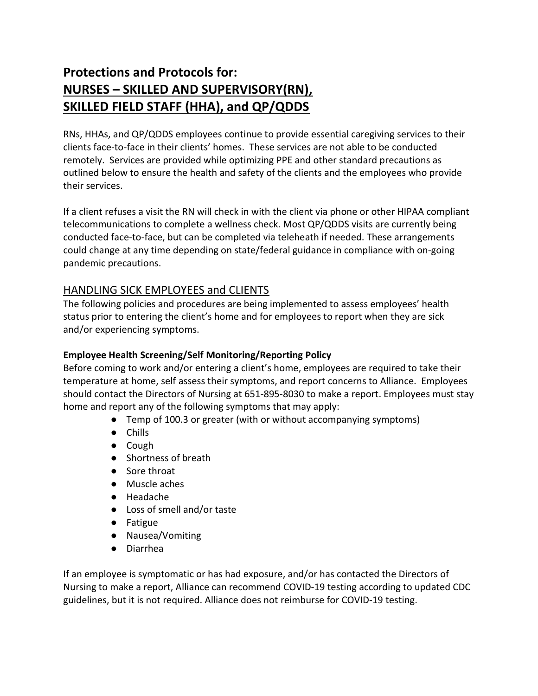# Protections and Protocols for: NURSES – SKILLED AND SUPERVISORY(RN), SKILLED FIELD STAFF (HHA), and QP/QDDS

RNs, HHAs, and QP/QDDS employees continue to provide essential caregiving services to their clients face-to-face in their clients' homes. These services are not able to be conducted remotely. Services are provided while optimizing PPE and other standard precautions as outlined below to ensure the health and safety of the clients and the employees who provide their services.

If a client refuses a visit the RN will check in with the client via phone or other HIPAA compliant telecommunications to complete a wellness check. Most QP/QDDS visits are currently being conducted face-to-face, but can be completed via teleheath if needed. These arrangements could change at any time depending on state/federal guidance in compliance with on-going pandemic precautions.

# HANDLING SICK EMPLOYEES and CLIENTS

The following policies and procedures are being implemented to assess employees' health status prior to entering the client's home and for employees to report when they are sick and/or experiencing symptoms.

#### Employee Health Screening/Self Monitoring/Reporting Policy

Before coming to work and/or entering a client's home, employees are required to take their temperature at home, self assess their symptoms, and report concerns to Alliance. Employees should contact the Directors of Nursing at 651-895-8030 to make a report. Employees must stay home and report any of the following symptoms that may apply:

- Temp of 100.3 or greater (with or without accompanying symptoms)
- Chills
- Cough
- Shortness of breath
- Sore throat
- Muscle aches
- Headache
- Loss of smell and/or taste
- Fatigue
- Nausea/Vomiting
- Diarrhea

If an employee is symptomatic or has had exposure, and/or has contacted the Directors of Nursing to make a report, Alliance can recommend COVID-19 testing according to updated CDC guidelines, but it is not required. Alliance does not reimburse for COVID-19 testing.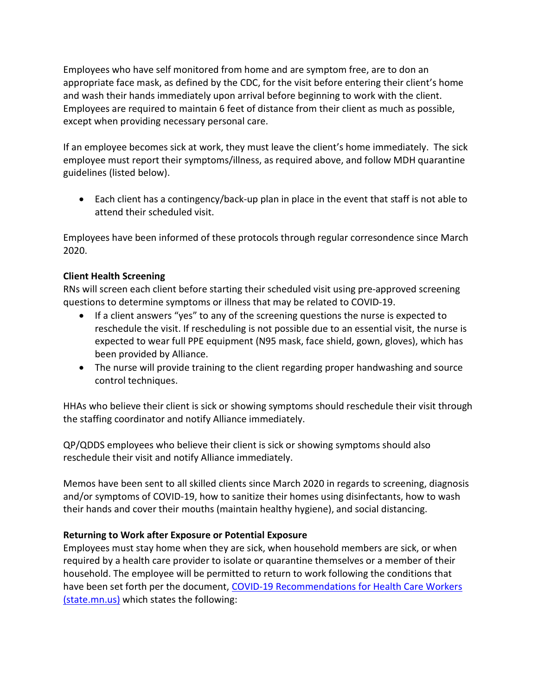Employees who have self monitored from home and are symptom free, are to don an appropriate face mask, as defined by the CDC, for the visit before entering their client's home and wash their hands immediately upon arrival before beginning to work with the client. Employees are required to maintain 6 feet of distance from their client as much as possible, except when providing necessary personal care.

If an employee becomes sick at work, they must leave the client's home immediately. The sick employee must report their symptoms/illness, as required above, and follow MDH quarantine guidelines (listed below).

 Each client has a contingency/back-up plan in place in the event that staff is not able to attend their scheduled visit.

Employees have been informed of these protocols through regular corresondence since March 2020.

#### Client Health Screening

RNs will screen each client before starting their scheduled visit using pre-approved screening questions to determine symptoms or illness that may be related to COVID-19.

- If a client answers "yes" to any of the screening questions the nurse is expected to reschedule the visit. If rescheduling is not possible due to an essential visit, the nurse is expected to wear full PPE equipment (N95 mask, face shield, gown, gloves), which has been provided by Alliance.
- The nurse will provide training to the client regarding proper handwashing and source control techniques.

HHAs who believe their client is sick or showing symptoms should reschedule their visit through the staffing coordinator and notify Alliance immediately.

QP/QDDS employees who believe their client is sick or showing symptoms should also reschedule their visit and notify Alliance immediately.

Memos have been sent to all skilled clients since March 2020 in regards to screening, diagnosis and/or symptoms of COVID-19, how to sanitize their homes using disinfectants, how to wash their hands and cover their mouths (maintain healthy hygiene), and social distancing.

#### Returning to Work after Exposure or Potential Exposure

Employees must stay home when they are sick, when household members are sick, or when required by a health care provider to isolate or quarantine themselves or a member of their household. The employee will be permitted to return to work following the conditions that have been set forth per the document, COVID-19 Recommendations for Health Care Workers (state.mn.us) which states the following: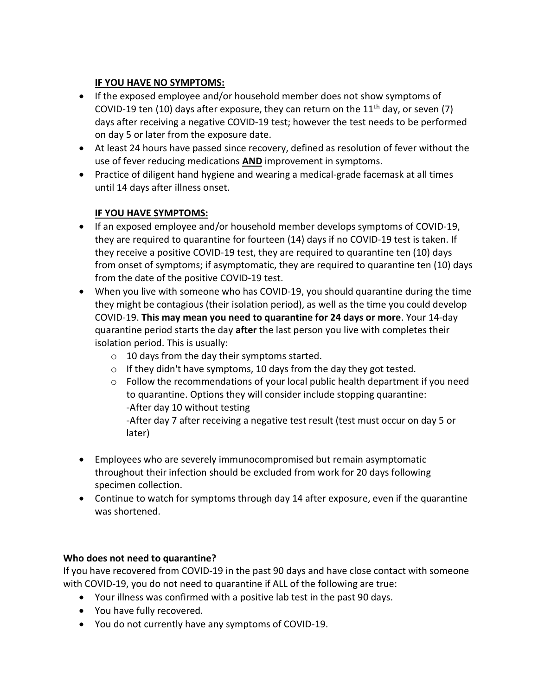### IF YOU HAVE NO SYMPTOMS:

- If the exposed employee and/or household member does not show symptoms of COVID-19 ten (10) days after exposure, they can return on the  $11<sup>th</sup>$  day, or seven (7) days after receiving a negative COVID-19 test; however the test needs to be performed on day 5 or later from the exposure date.
- At least 24 hours have passed since recovery, defined as resolution of fever without the use of fever reducing medications AND improvement in symptoms.
- Practice of diligent hand hygiene and wearing a medical-grade facemask at all times until 14 days after illness onset.

#### IF YOU HAVE SYMPTOMS:

- If an exposed employee and/or household member develops symptoms of COVID-19, they are required to quarantine for fourteen (14) days if no COVID-19 test is taken. If they receive a positive COVID-19 test, they are required to quarantine ten (10) days from onset of symptoms; if asymptomatic, they are required to quarantine ten (10) days from the date of the positive COVID-19 test.
- When you live with someone who has COVID-19, you should quarantine during the time they might be contagious (their isolation period), as well as the time you could develop COVID-19. This may mean you need to quarantine for 24 days or more. Your 14-day quarantine period starts the day after the last person you live with completes their isolation period. This is usually:
	- o 10 days from the day their symptoms started.
	- $\circ$  If they didn't have symptoms, 10 days from the day they got tested.
	- o Follow the recommendations of your local public health department if you need to quarantine. Options they will consider include stopping quarantine: -After day 10 without testing

-After day 7 after receiving a negative test result (test must occur on day 5 or later)

- Employees who are severely immunocompromised but remain asymptomatic throughout their infection should be excluded from work for 20 days following specimen collection.
- Continue to watch for symptoms through day 14 after exposure, even if the quarantine was shortened.

#### Who does not need to quarantine?

If you have recovered from COVID-19 in the past 90 days and have close contact with someone with COVID-19, you do not need to quarantine if ALL of the following are true:

- Your illness was confirmed with a positive lab test in the past 90 days.
- You have fully recovered.
- You do not currently have any symptoms of COVID-19.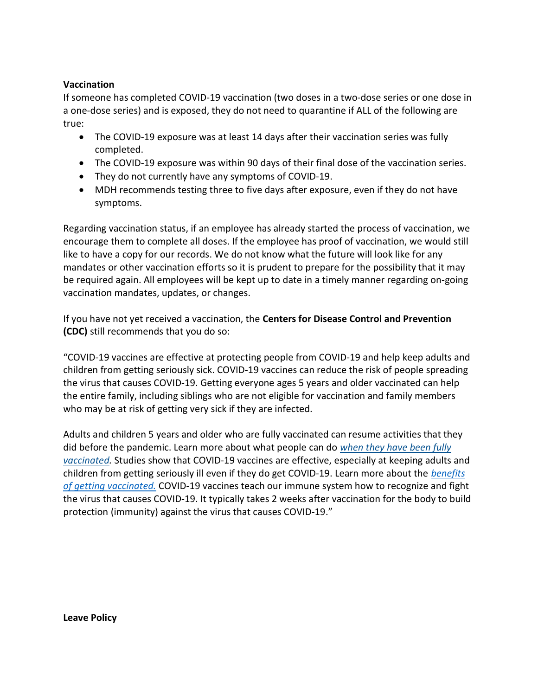#### Vaccination

If someone has completed COVID-19 vaccination (two doses in a two-dose series or one dose in a one-dose series) and is exposed, they do not need to quarantine if ALL of the following are true:

- The COVID-19 exposure was at least 14 days after their vaccination series was fully completed.
- The COVID-19 exposure was within 90 days of their final dose of the vaccination series.
- They do not currently have any symptoms of COVID-19.
- MDH recommends testing three to five days after exposure, even if they do not have symptoms.

Regarding vaccination status, if an employee has already started the process of vaccination, we encourage them to complete all doses. If the employee has proof of vaccination, we would still like to have a copy for our records. We do not know what the future will look like for any mandates or other vaccination efforts so it is prudent to prepare for the possibility that it may be required again. All employees will be kept up to date in a timely manner regarding on-going vaccination mandates, updates, or changes.

If you have not yet received a vaccination, the Centers for Disease Control and Prevention (CDC) still recommends that you do so:

"COVID-19 vaccines are effective at protecting people from COVID-19 and help keep adults and children from getting seriously sick. COVID-19 vaccines can reduce the risk of people spreading the virus that causes COVID-19. Getting everyone ages 5 years and older vaccinated can help the entire family, including siblings who are not eligible for vaccination and family members who may be at risk of getting very sick if they are infected.

Adults and children 5 years and older who are fully vaccinated can resume activities that they did before the pandemic. Learn more about what people can do when they have been fully vaccinated. Studies show that COVID-19 vaccines are effective, especially at keeping adults and children from getting seriously ill even if they do get COVID-19. Learn more about the benefits of getting vaccinated. COVID-19 vaccines teach our immune system how to recognize and fight the virus that causes COVID-19. It typically takes 2 weeks after vaccination for the body to build protection (immunity) against the virus that causes COVID-19."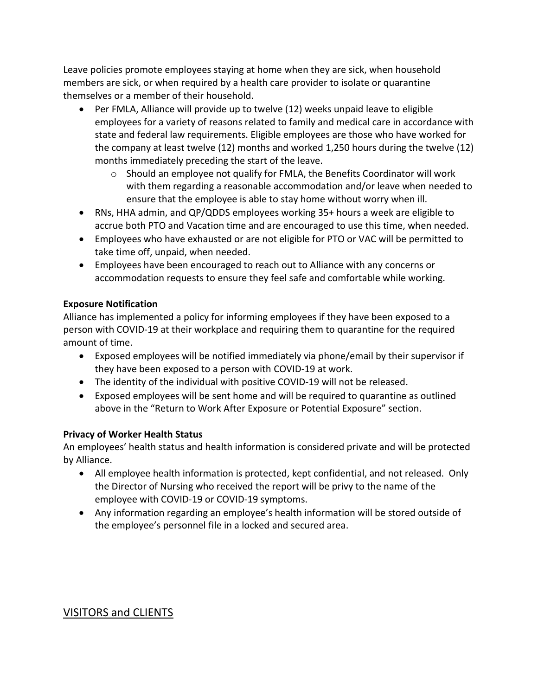Leave policies promote employees staying at home when they are sick, when household members are sick, or when required by a health care provider to isolate or quarantine themselves or a member of their household.

- Per FMLA, Alliance will provide up to twelve (12) weeks unpaid leave to eligible employees for a variety of reasons related to family and medical care in accordance with state and federal law requirements. Eligible employees are those who have worked for the company at least twelve (12) months and worked 1,250 hours during the twelve (12) months immediately preceding the start of the leave.
	- o Should an employee not qualify for FMLA, the Benefits Coordinator will work with them regarding a reasonable accommodation and/or leave when needed to ensure that the employee is able to stay home without worry when ill.
- RNs, HHA admin, and QP/QDDS employees working 35+ hours a week are eligible to accrue both PTO and Vacation time and are encouraged to use this time, when needed.
- Employees who have exhausted or are not eligible for PTO or VAC will be permitted to take time off, unpaid, when needed.
- Employees have been encouraged to reach out to Alliance with any concerns or accommodation requests to ensure they feel safe and comfortable while working.

#### Exposure Notification

Alliance has implemented a policy for informing employees if they have been exposed to a person with COVID-19 at their workplace and requiring them to quarantine for the required amount of time.

- Exposed employees will be notified immediately via phone/email by their supervisor if they have been exposed to a person with COVID-19 at work.
- The identity of the individual with positive COVID-19 will not be released.
- Exposed employees will be sent home and will be required to quarantine as outlined above in the "Return to Work After Exposure or Potential Exposure" section.

#### Privacy of Worker Health Status

An employees' health status and health information is considered private and will be protected by Alliance.

- All employee health information is protected, kept confidential, and not released. Only the Director of Nursing who received the report will be privy to the name of the employee with COVID-19 or COVID-19 symptoms.
- Any information regarding an employee's health information will be stored outside of the employee's personnel file in a locked and secured area.

# VISITORS and CLIENTS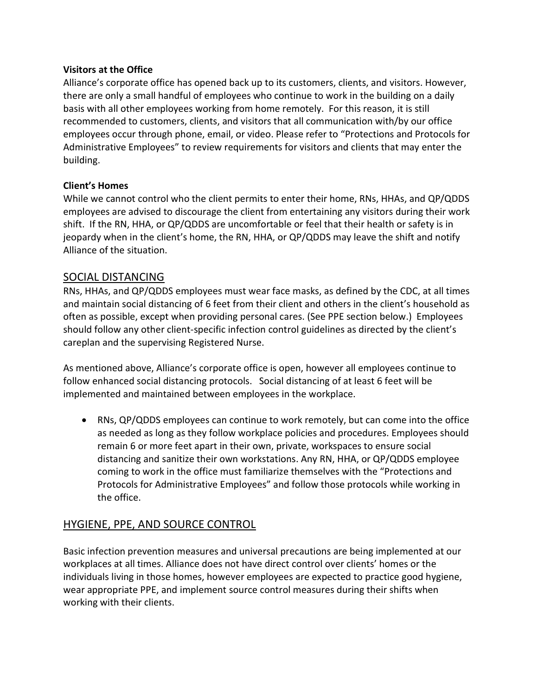#### Visitors at the Office

Alliance's corporate office has opened back up to its customers, clients, and visitors. However, there are only a small handful of employees who continue to work in the building on a daily basis with all other employees working from home remotely. For this reason, it is still recommended to customers, clients, and visitors that all communication with/by our office employees occur through phone, email, or video. Please refer to "Protections and Protocols for Administrative Employees" to review requirements for visitors and clients that may enter the building.

#### Client's Homes

While we cannot control who the client permits to enter their home, RNs, HHAs, and QP/QDDS employees are advised to discourage the client from entertaining any visitors during their work shift. If the RN, HHA, or QP/QDDS are uncomfortable or feel that their health or safety is in jeopardy when in the client's home, the RN, HHA, or QP/QDDS may leave the shift and notify Alliance of the situation.

#### SOCIAL DISTANCING

RNs, HHAs, and QP/QDDS employees must wear face masks, as defined by the CDC, at all times and maintain social distancing of 6 feet from their client and others in the client's household as often as possible, except when providing personal cares. (See PPE section below.) Employees should follow any other client-specific infection control guidelines as directed by the client's careplan and the supervising Registered Nurse.

As mentioned above, Alliance's corporate office is open, however all employees continue to follow enhanced social distancing protocols. Social distancing of at least 6 feet will be implemented and maintained between employees in the workplace.

 RNs, QP/QDDS employees can continue to work remotely, but can come into the office as needed as long as they follow workplace policies and procedures. Employees should remain 6 or more feet apart in their own, private, workspaces to ensure social distancing and sanitize their own workstations. Any RN, HHA, or QP/QDDS employee coming to work in the office must familiarize themselves with the "Protections and Protocols for Administrative Employees" and follow those protocols while working in the office.

# HYGIENE, PPE, AND SOURCE CONTROL

Basic infection prevention measures and universal precautions are being implemented at our workplaces at all times. Alliance does not have direct control over clients' homes or the individuals living in those homes, however employees are expected to practice good hygiene, wear appropriate PPE, and implement source control measures during their shifts when working with their clients.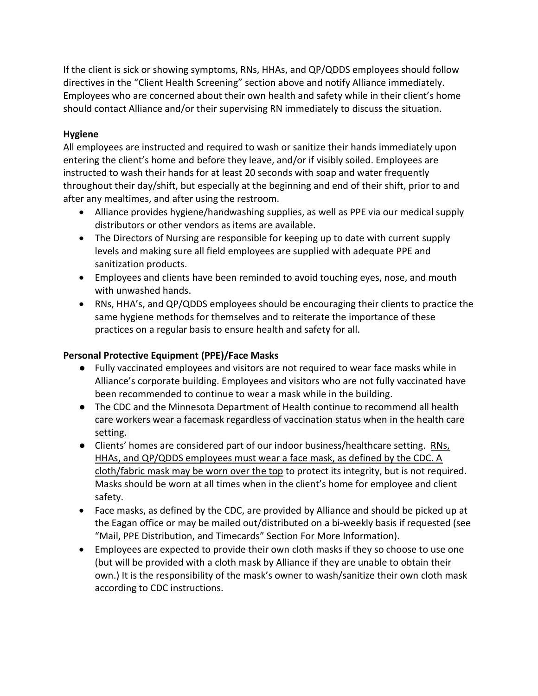If the client is sick or showing symptoms, RNs, HHAs, and QP/QDDS employees should follow directives in the "Client Health Screening" section above and notify Alliance immediately. Employees who are concerned about their own health and safety while in their client's home should contact Alliance and/or their supervising RN immediately to discuss the situation.

#### Hygiene

All employees are instructed and required to wash or sanitize their hands immediately upon entering the client's home and before they leave, and/or if visibly soiled. Employees are instructed to wash their hands for at least 20 seconds with soap and water frequently throughout their day/shift, but especially at the beginning and end of their shift, prior to and after any mealtimes, and after using the restroom.

- Alliance provides hygiene/handwashing supplies, as well as PPE via our medical supply distributors or other vendors as items are available.
- The Directors of Nursing are responsible for keeping up to date with current supply levels and making sure all field employees are supplied with adequate PPE and sanitization products.
- Employees and clients have been reminded to avoid touching eyes, nose, and mouth with unwashed hands.
- RNs, HHA's, and QP/QDDS employees should be encouraging their clients to practice the same hygiene methods for themselves and to reiterate the importance of these practices on a regular basis to ensure health and safety for all.

#### Personal Protective Equipment (PPE)/Face Masks

- Fully vaccinated employees and visitors are not required to wear face masks while in Alliance's corporate building. Employees and visitors who are not fully vaccinated have been recommended to continue to wear a mask while in the building.
- The CDC and the Minnesota Department of Health continue to recommend all health care workers wear a facemask regardless of vaccination status when in the health care setting.
- Clients' homes are considered part of our indoor business/healthcare setting. RNs, HHAs, and QP/QDDS employees must wear a face mask, as defined by the CDC. A cloth/fabric mask may be worn over the top to protect its integrity, but is not required. Masks should be worn at all times when in the client's home for employee and client safety.
- Face masks, as defined by the CDC, are provided by Alliance and should be picked up at the Eagan office or may be mailed out/distributed on a bi-weekly basis if requested (see "Mail, PPE Distribution, and Timecards" Section For More Information).
- Employees are expected to provide their own cloth masks if they so choose to use one (but will be provided with a cloth mask by Alliance if they are unable to obtain their own.) It is the responsibility of the mask's owner to wash/sanitize their own cloth mask according to CDC instructions.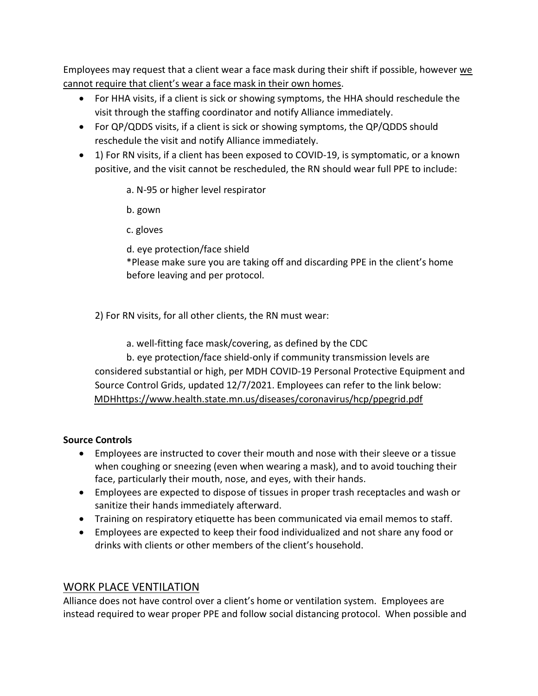Employees may request that a client wear a face mask during their shift if possible, however we cannot require that client's wear a face mask in their own homes.

- For HHA visits, if a client is sick or showing symptoms, the HHA should reschedule the visit through the staffing coordinator and notify Alliance immediately.
- For QP/QDDS visits, if a client is sick or showing symptoms, the QP/QDDS should reschedule the visit and notify Alliance immediately.
- 1) For RN visits, if a client has been exposed to COVID-19, is symptomatic, or a known positive, and the visit cannot be rescheduled, the RN should wear full PPE to include:
	- a. N-95 or higher level respirator
	- b. gown
	- c. gloves
	- d. eye protection/face shield
	- \*Please make sure you are taking off and discarding PPE in the client's home before leaving and per protocol.
	- 2) For RN visits, for all other clients, the RN must wear:
		- a. well-fitting face mask/covering, as defined by the CDC
	- b. eye protection/face shield-only if community transmission levels are considered substantial or high, per MDH COVID-19 Personal Protective Equipment and Source Control Grids, updated 12/7/2021. Employees can refer to the link below: MDHhttps://www.health.state.mn.us/diseases/coronavirus/hcp/ppegrid.pdf

#### Source Controls

- Employees are instructed to cover their mouth and nose with their sleeve or a tissue when coughing or sneezing (even when wearing a mask), and to avoid touching their face, particularly their mouth, nose, and eyes, with their hands.
- Employees are expected to dispose of tissues in proper trash receptacles and wash or sanitize their hands immediately afterward.
- Training on respiratory etiquette has been communicated via email memos to staff.
- Employees are expected to keep their food individualized and not share any food or drinks with clients or other members of the client's household.

### WORK PLACE VENTILATION

Alliance does not have control over a client's home or ventilation system. Employees are instead required to wear proper PPE and follow social distancing protocol. When possible and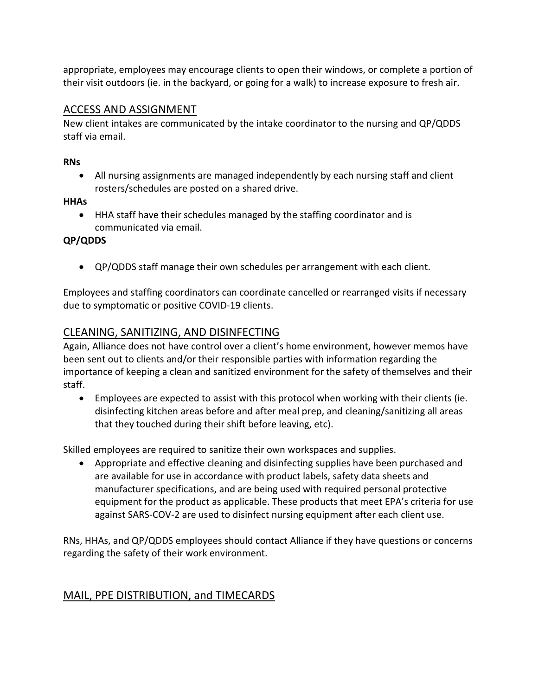appropriate, employees may encourage clients to open their windows, or complete a portion of their visit outdoors (ie. in the backyard, or going for a walk) to increase exposure to fresh air.

### ACCESS AND ASSIGNMENT

New client intakes are communicated by the intake coordinator to the nursing and QP/QDDS staff via email.

#### RNs

 All nursing assignments are managed independently by each nursing staff and client rosters/schedules are posted on a shared drive.

#### HHAs

 HHA staff have their schedules managed by the staffing coordinator and is communicated via email.

# QP/QDDS

QP/QDDS staff manage their own schedules per arrangement with each client.

Employees and staffing coordinators can coordinate cancelled or rearranged visits if necessary due to symptomatic or positive COVID-19 clients.

# CLEANING, SANITIZING, AND DISINFECTING

Again, Alliance does not have control over a client's home environment, however memos have been sent out to clients and/or their responsible parties with information regarding the importance of keeping a clean and sanitized environment for the safety of themselves and their staff.

 Employees are expected to assist with this protocol when working with their clients (ie. disinfecting kitchen areas before and after meal prep, and cleaning/sanitizing all areas that they touched during their shift before leaving, etc).

Skilled employees are required to sanitize their own workspaces and supplies.

 Appropriate and effective cleaning and disinfecting supplies have been purchased and are available for use in accordance with product labels, safety data sheets and manufacturer specifications, and are being used with required personal protective equipment for the product as applicable. These products that meet EPA's criteria for use against SARS-COV-2 are used to disinfect nursing equipment after each client use.

RNs, HHAs, and QP/QDDS employees should contact Alliance if they have questions or concerns regarding the safety of their work environment.

# MAIL, PPE DISTRIBUTION, and TIMECARDS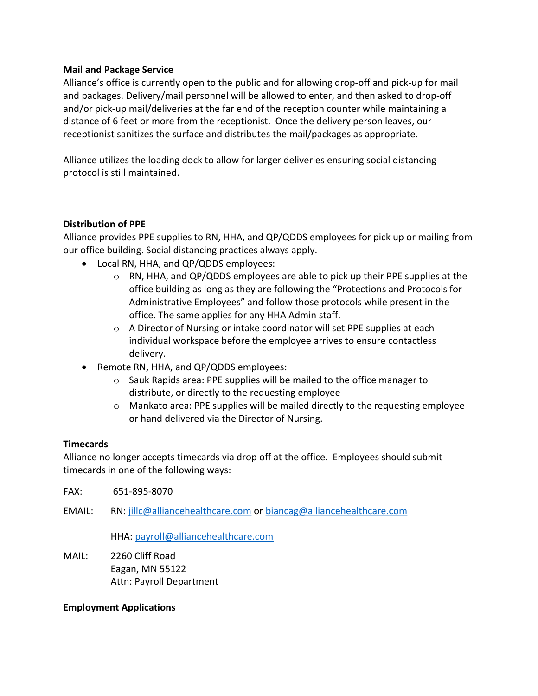#### Mail and Package Service

Alliance's office is currently open to the public and for allowing drop-off and pick-up for mail and packages. Delivery/mail personnel will be allowed to enter, and then asked to drop-off and/or pick-up mail/deliveries at the far end of the reception counter while maintaining a distance of 6 feet or more from the receptionist. Once the delivery person leaves, our receptionist sanitizes the surface and distributes the mail/packages as appropriate.

Alliance utilizes the loading dock to allow for larger deliveries ensuring social distancing protocol is still maintained.

#### Distribution of PPE

Alliance provides PPE supplies to RN, HHA, and QP/QDDS employees for pick up or mailing from our office building. Social distancing practices always apply.

- Local RN, HHA, and QP/QDDS employees:
	- $\circ$  RN, HHA, and QP/QDDS employees are able to pick up their PPE supplies at the office building as long as they are following the "Protections and Protocols for Administrative Employees" and follow those protocols while present in the office. The same applies for any HHA Admin staff.
	- o A Director of Nursing or intake coordinator will set PPE supplies at each individual workspace before the employee arrives to ensure contactless delivery.
- Remote RN, HHA, and QP/QDDS employees:
	- $\circ$  Sauk Rapids area: PPE supplies will be mailed to the office manager to distribute, or directly to the requesting employee
	- o Mankato area: PPE supplies will be mailed directly to the requesting employee or hand delivered via the Director of Nursing.

#### **Timecards**

Alliance no longer accepts timecards via drop off at the office. Employees should submit timecards in one of the following ways:

- FAX: 651-895-8070
- EMAIL: RN: jillc@alliancehealthcare.com or biancag@alliancehealthcare.com

HHA: payroll@alliancehealthcare.com

MAIL: 2260 Cliff Road Eagan, MN 55122 Attn: Payroll Department

#### Employment Applications